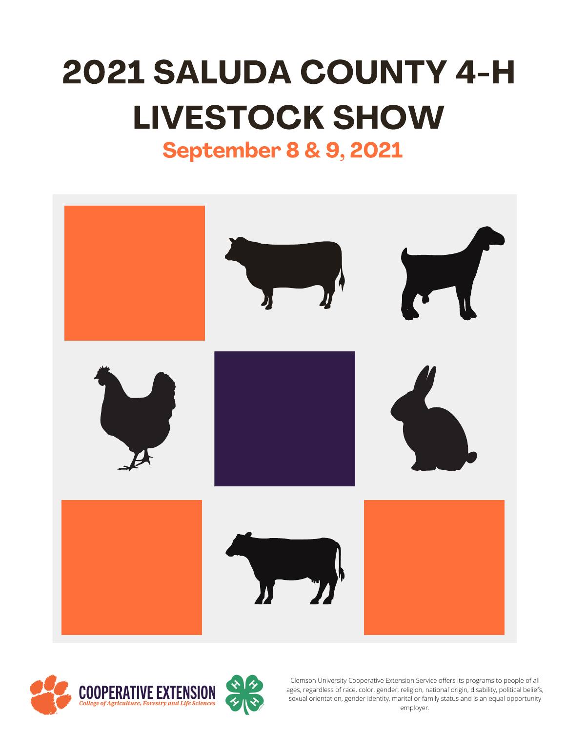# 2021 SALUDA COUNTY 4-H LIVESTOCK SHOW

# September 8 & 9, 2021





Clemson University Cooperative Extension Service offers its programs to people of all ages, regardless of race, color, gender, religion, national origin, disability, political beliefs, sexual orientation, gender identity, marital or family status and is an equal opportunity employer.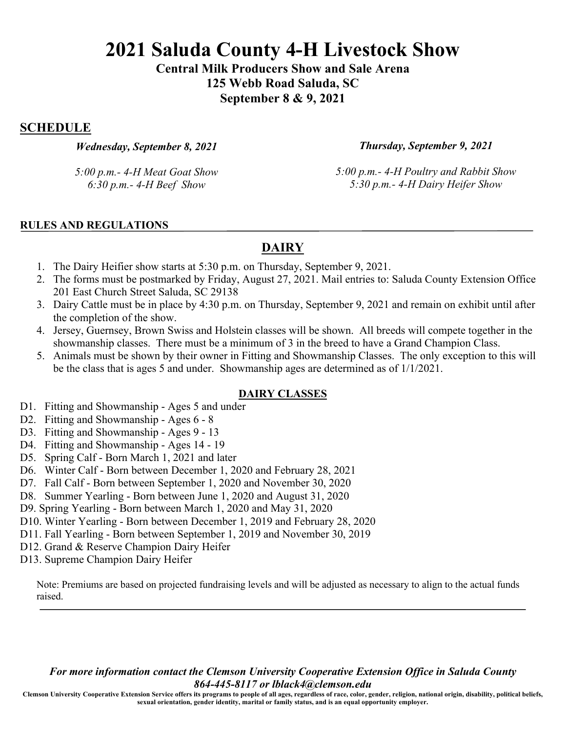**Central Milk Producers Show and Sale Arena 125 Webb Road Saluda, SC September 8 & 9, 2021**

# **SCHEDULE**

*Wednesday, September 8, 2021*

*Thursday, September 9, 2021*

*5:00 p.m.- 4-H Meat Goat Show 6:30 p.m.- 4-H Beef Show*

*5:00 p.m.- 4-H Poultry and Rabbit Show 5:30 p.m.- 4-H Dairy Heifer Show*

### **RULES AND REGULATIONS**

# **DAIRY**

- 1. The Dairy Heifier show starts at 5:30 p.m. on Thursday, September 9, 2021.
- 2. The forms must be postmarked by Friday, August 27, 2021. Mail entries to: Saluda County Extension Office 201 East Church Street Saluda, SC 29138
- 3. Dairy Cattle must be in place by 4:30 p.m. on Thursday, September 9, 2021 and remain on exhibit until after the completion of the show.
- 4. Jersey, Guernsey, Brown Swiss and Holstein classes will be shown. All breeds will compete together in the showmanship classes. There must be a minimum of 3 in the breed to have a Grand Champion Class.
- 5. Animals must be shown by their owner in Fitting and Showmanship Classes. The only exception to this will be the class that is ages 5 and under. Showmanship ages are determined as of 1/1/2021.

### **DAIRY CLASSES**

- D1. Fitting and Showmanship Ages 5 and under
- D2. Fitting and Showmanship Ages 6 8
- D3. Fitting and Showmanship Ages 9 13
- D4. Fitting and Showmanship Ages 14 19
- D5. Spring Calf Born March 1, 2021 and later
- D6. Winter Calf Born between December 1, 2020 and February 28, 2021
- D7. Fall Calf Born between September 1, 2020 and November 30, 2020
- D8. Summer Yearling Born between June 1, 2020 and August 31, 2020
- D9. Spring Yearling Born between March 1, 2020 and May 31, 2020
- D10. Winter Yearling Born between December 1, 2019 and February 28, 2020
- D11. Fall Yearling Born between September 1, 2019 and November 30, 2019
- D12. Grand & Reserve Champion Dairy Heifer
- D13. Supreme Champion Dairy Heifer

Note: Premiums are based on projected fundraising levels and will be adjusted as necessary to align to the actual funds raised.

*For more information contact the Clemson University Cooperative Extension Office in Saluda County 864-445-8117 or lblack4@clemson.edu*

**Clemson University Cooperative Extension Service offers its programs to people of all ages, regardless of race, color, gender, religion, national origin, disability, political beliefs, sexual orientation, gender identity, marital or family status, and is an equal opportunity employer.**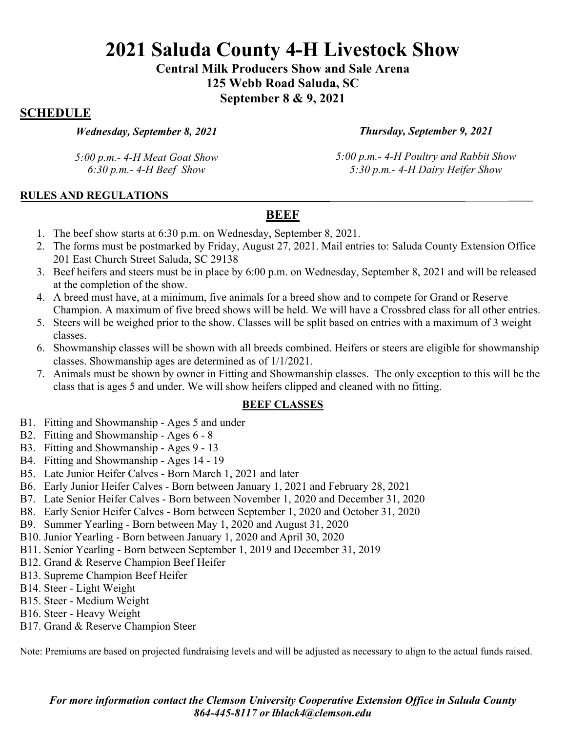**Central Milk Producers Show and Sale Arena 125 Webb Road Saluda, SC September 8 & 9, 2021**

# **SCHEDULE**

*Wednesday, September 8, 2021*

*Thursday, September 9, 2021*

*5:00 p.m.- 4-H Meat Goat Show 6:30 p.m.- 4-H Beef Show*

*5:00 p.m.- 4-H Poultry and Rabbit Show 5:30 p.m.- 4-H Dairy Heifer Show*

### **RULES AND REGULATIONS**

# **BEEF**

- 1. The beef show starts at 6:30 p.m. on Wednesday, September 8, 2021.
- 2. The forms must be postmarked by Friday, August 27, 2021. Mail entries to: Saluda County Extension Office 201 East Church Street Saluda, SC 29138
- 3. Beef heifers and steers must be in place by 6:00 p.m. on Wednesday, September 8, 2021 and will be released at the completion of the show.
- 4. A breed must have, at a minimum, five animals for a breed show and to compete for Grand or Reserve Champion. A maximum of five breed shows will be held. We will have a Crossbred class for all other entries.
- 5. Steers will be weighed prior to the show. Classes will be split based on entries with a maximum of 3 weight classes.
- 6. Showmanship classes will be shown with all breeds combined. Heifers or steers are eligible for showmanship classes. Showmanship ages are determined as of 1/1/2021.
- 7. Animals must be shown by owner in Fitting and Showmanship classes. The only exception to this will be the class that is ages 5 and under. We will show heifers clipped and cleaned with no fitting.

### **BEEF CLASSES**

- B1. Fitting and Showmanship Ages 5 and under
- B2. Fitting and Showmanship Ages 6 8
- B3. Fitting and Showmanship Ages 9 13
- B4. Fitting and Showmanship Ages 14 19
- B5. Late Junior Heifer Calves Born March 1, 2021 and later
- B6. Early Junior Heifer Calves Born between January 1, 2021 and February 28, 2021
- B7. Late Senior Heifer Calves Born between November 1, 2020 and December 31, 2020
- B8. Early Senior Heifer Calves Born between September 1, 2020 and October 31, 2020
- B9. Summer Yearling Born between May 1, 2020 and August 31, 2020
- B10. Junior Yearling Born between January 1, 2020 and April 30, 2020
- B11. Senior Yearling Born between September 1, 2019 and December 31, 2019
- B12. Grand & Reserve Champion Beef Heifer
- B13. Supreme Champion Beef Heifer
- B14. Steer Light Weight
- B15. Steer Medium Weight
- B16. Steer Heavy Weight
- B17. Grand & Reserve Champion Steer

Note: Premiums are based on projected fundraising levels and will be adjusted as necessary to align to the actual funds raised.

*For more information contact the Clemson University Cooperative Extension Office in Saluda County 864-445-8117 or lblack4@clemson.edu*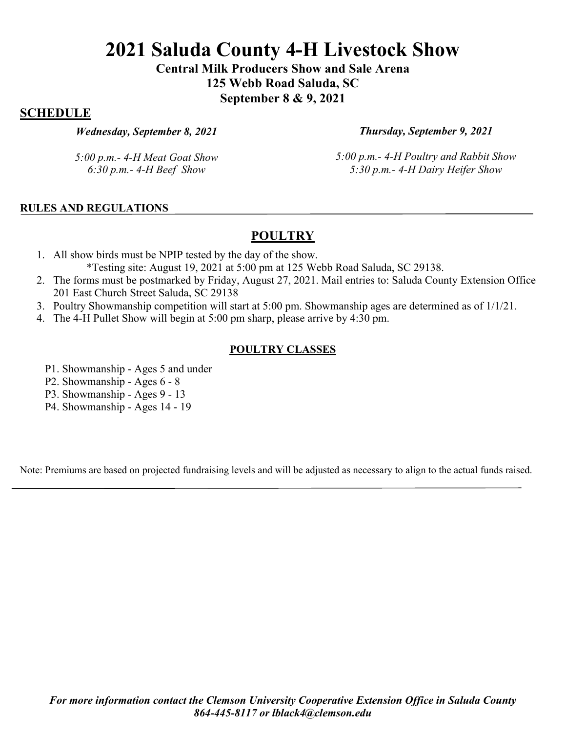**Central Milk Producers Show and Sale Arena 125 Webb Road Saluda, SC September 8 & 9, 2021**

## **SCHEDULE**

#### *Wednesday, September 8, 2021*

*Thursday, September 9, 2021*

*5:00 p.m.- 4-H Meat Goat Show 6:30 p.m.- 4-H Beef Show*

*5:00 p.m.- 4-H Poultry and Rabbit Show 5:30 p.m.- 4-H Dairy Heifer Show*

### **RULES AND REGULATIONS**

# **POULTRY**

- 1. All show birds must be NPIP tested by the day of the show. \*Testing site: August 19, 2021 at 5:00 pm at 125 Webb Road Saluda, SC 29138.
- 2. The forms must be postmarked by Friday, August 27, 2021. Mail entries to: Saluda County Extension Office 201 East Church Street Saluda, SC 29138
- 3. Poultry Showmanship competition will start at 5:00 pm. Showmanship ages are determined as of 1/1/21.
- 4. The 4-H Pullet Show will begin at 5:00 pm sharp, please arrive by 4:30 pm.

#### **POULTRY CLASSES**

- P1. Showmanship Ages 5 and under
- P2. Showmanship Ages 6 8
- P3. Showmanship Ages 9 13
- P4. Showmanship Ages 14 19

Note: Premiums are based on projected fundraising levels and will be adjusted as necessary to align to the actual funds raised.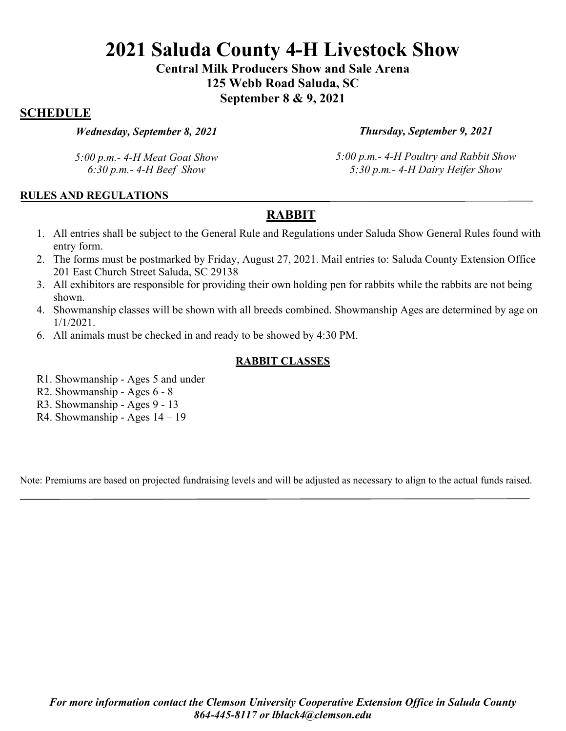**Central Milk Producers Show and Sale Arena 125 Webb Road Saluda, SC September 8 & 9, 2021**

# **SCHEDULE**

#### *Wednesday, September 8, 2021*

*5:00 p.m.- 4-H Meat Goat Show 6:30 p.m.- 4-H Beef Show*

*Thursday, September 9, 2021*

*5:00 p.m.- 4-H Poultry and Rabbit Show 5:30 p.m.- 4-H Dairy Heifer Show*

### **RULES AND REGULATIONS**

# **RABBIT**

- 1. All entries shall be subject to the General Rule and Regulations under Saluda Show General Rules found with entry form.
- 2. The forms must be postmarked by Friday, August 27, 2021. Mail entries to: Saluda County Extension Office 201 East Church Street Saluda, SC 29138
- 3. All exhibitors are responsible for providing their own holding pen for rabbits while the rabbits are not being shown.
- 4. Showmanship classes will be shown with all breeds combined. Showmanship Ages are determined by age on 1/1/2021.
- 6. All animals must be checked in and ready to be showed by 4:30 PM.

### **RABBIT CLASSES**

- R1. Showmanship Ages 5 and under
- R2. Showmanship Ages 6 8
- R3. Showmanship Ages 9 13
- R4. Showmanship Ages 14 19

Note: Premiums are based on projected fundraising levels and will be adjusted as necessary to align to the actual funds raised.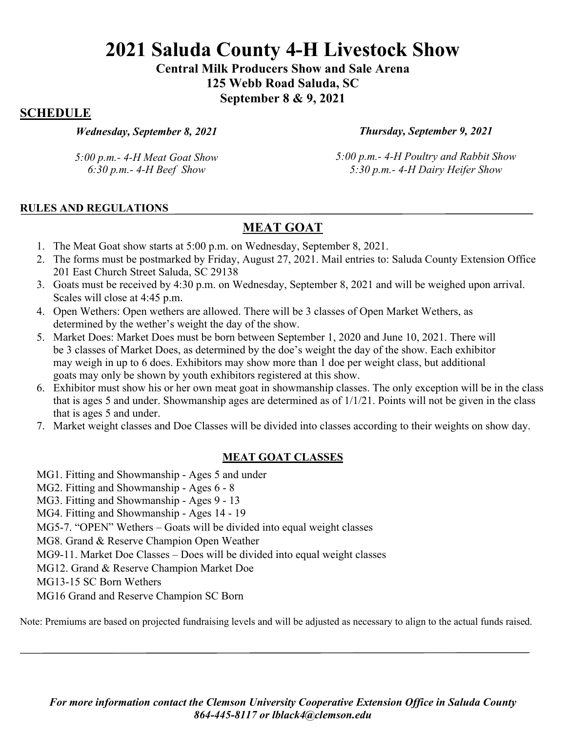**Central Milk Producers Show and Sale Arena 125 Webb Road Saluda, SC September 8 & 9, 2021**

# **SCHEDULE**

*Wednesday, September 8, 2021*

*5:00 p.m.- 4-H Meat Goat Show 6:30 p.m.- 4-H Beef Show*

*Thursday, September 9, 2021*

*5:00 p.m.- 4-H Poultry and Rabbit Show 5:30 p.m.- 4-H Dairy Heifer Show*

### **RULES AND REGULATIONS**

# **MEAT GOAT**

- 1. The Meat Goat show starts at 5:00 p.m. on Wednesday, September 8, 2021.
- 2. The forms must be postmarked by Friday, August 27, 2021. Mail entries to: Saluda County Extension Office 201 East Church Street Saluda, SC 29138
- 3. Goats must be received by 4:30 p.m. on Wednesday, September 8, 2021 and will be weighed upon arrival. Scales will close at 4:45 p.m.
- 4. Open Wethers: Open wethers are allowed. There will be 3 classes of Open Market Wethers, as determined by the wether's weight the day of the show.
- 5. Market Does: Market Does must be born between September 1, 2020 and June 10, 2021. There will be 3 classes of Market Does, as determined by the doe's weight the day of the show. Each exhibitor may weigh in up to 6 does. Exhibitors may show more than 1 doe per weight class, but additional goats may only be shown by youth exhibitors registered at this show.
- 6. Exhibitor must show his or her own meat goat in showmanship classes. The only exception will be in the class that is ages 5 and under. Showmanship ages are determined as of 1/1/21. Points will not be given in the class that is ages 5 and under.
- 7. Market weight classes and Doe Classes will be divided into classes according to their weights on show day.

# **MEAT GOAT CLASSES**

- MG1. Fitting and Showmanship Ages 5 and under
- MG2. Fitting and Showmanship Ages 6 8
- MG3. Fitting and Showmanship Ages 9 13

MG4. Fitting and Showmanship - Ages 14 - 19

MG5-7. "OPEN" Wethers – Goats will be divided into equal weight classes

MG8. Grand & Reserve Champion Open Weather

MG9-11. Market Doe Classes – Does will be divided into equal weight classes

MG12. Grand & Reserve Champion Market Doe

MG13-15 SC Born Wethers

MG16 Grand and Reserve Champion SC Born

Note: Premiums are based on projected fundraising levels and will be adjusted as necessary to align to the actual funds raised.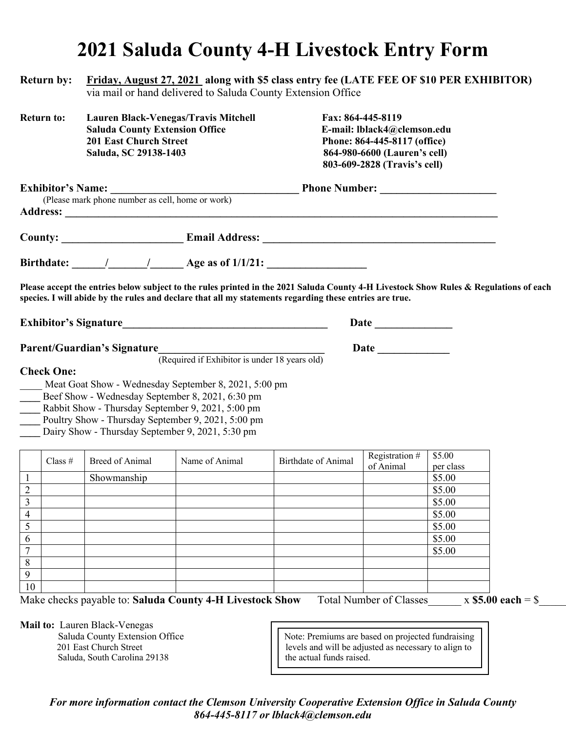# **2021 Saluda County 4-H Livestock Entry Form**

| <b>Return by:</b>                                                                                                                                                                                                                                                          | Friday, August 27, 2021 along with \$5 class entry fee (LATE FEE OF \$10 PER EXHIBITOR)<br>via mail or hand delivered to Saluda County Extension Office |                                                                                                                                                             |                                                                                                                                                                                                                                                  |                                                                                                                                                  |                     |  |
|----------------------------------------------------------------------------------------------------------------------------------------------------------------------------------------------------------------------------------------------------------------------------|---------------------------------------------------------------------------------------------------------------------------------------------------------|-------------------------------------------------------------------------------------------------------------------------------------------------------------|--------------------------------------------------------------------------------------------------------------------------------------------------------------------------------------------------------------------------------------------------|--------------------------------------------------------------------------------------------------------------------------------------------------|---------------------|--|
| <b>Return to:</b>                                                                                                                                                                                                                                                          | <b>Saluda County Extension Office</b><br><b>201 East Church Street</b><br>Saluda, SC 29138-1403                                                         | <b>Lauren Black-Venegas/Travis Mitchell</b>                                                                                                                 |                                                                                                                                                                                                                                                  | Fax: 864-445-8119<br>E-mail: lblack4@clemson.edu<br>Phone: 864-445-8117 (office)<br>864-980-6600 (Lauren's cell)<br>803-609-2828 (Travis's cell) |                     |  |
| <b>IDITOR'S Name:</b> <u>Channel Communists cell, home or work</u> Phone Number: <u>Channel Channel Channel Channel Channel Channel Channel Channel Channel Channel Channel Channel Channel Channel Channel Channel Channel Channel Channe</u><br><b>Exhibitor's Name:</b> |                                                                                                                                                         |                                                                                                                                                             |                                                                                                                                                                                                                                                  |                                                                                                                                                  |                     |  |
|                                                                                                                                                                                                                                                                            |                                                                                                                                                         |                                                                                                                                                             |                                                                                                                                                                                                                                                  |                                                                                                                                                  |                     |  |
|                                                                                                                                                                                                                                                                            |                                                                                                                                                         |                                                                                                                                                             | Birthdate: $\frac{1}{\sqrt{2\pi}}$ / $\frac{1}{\sqrt{2\pi}}$ Age as of 1/1/21:                                                                                                                                                                   |                                                                                                                                                  |                     |  |
|                                                                                                                                                                                                                                                                            |                                                                                                                                                         |                                                                                                                                                             | Please accept the entries below subject to the rules printed in the 2021 Saluda County 4-H Livestock Show Rules & Regulations of each<br>species. I will abide by the rules and declare that all my statements regarding these entries are true. |                                                                                                                                                  |                     |  |
|                                                                                                                                                                                                                                                                            |                                                                                                                                                         |                                                                                                                                                             |                                                                                                                                                                                                                                                  |                                                                                                                                                  |                     |  |
| <b>Check One:</b>                                                                                                                                                                                                                                                          | <b>Parent/Guardian's Signature</b>                                                                                                                      | (Required if Exhibitor is under 18 years old)<br>Meat Goat Show - Wednesday September 8, 2021, 5:00 pm                                                      |                                                                                                                                                                                                                                                  |                                                                                                                                                  |                     |  |
|                                                                                                                                                                                                                                                                            | Dairy Show - Thursday September 9, 2021, 5:30 pm                                                                                                        | Beef Show - Wednesday September 8, 2021, 6:30 pm<br>Rabbit Show - Thursday September 9, 2021, 5:00 pm<br>Poultry Show - Thursday September 9, 2021, 5:00 pm |                                                                                                                                                                                                                                                  |                                                                                                                                                  |                     |  |
| Class $#$                                                                                                                                                                                                                                                                  | <b>Breed of Animal</b>                                                                                                                                  | Name of Animal                                                                                                                                              | <b>Birthdate of Animal</b>                                                                                                                                                                                                                       | Registration #<br>of Animal                                                                                                                      | \$5.00<br>per class |  |
| $\mathbf{1}$                                                                                                                                                                                                                                                               | Showmanship                                                                                                                                             |                                                                                                                                                             |                                                                                                                                                                                                                                                  |                                                                                                                                                  | \$5.00              |  |
| 2                                                                                                                                                                                                                                                                          |                                                                                                                                                         |                                                                                                                                                             |                                                                                                                                                                                                                                                  |                                                                                                                                                  | \$5.00              |  |
| 3<br>4                                                                                                                                                                                                                                                                     |                                                                                                                                                         |                                                                                                                                                             |                                                                                                                                                                                                                                                  |                                                                                                                                                  | \$5.00<br>\$5.00    |  |
| 5                                                                                                                                                                                                                                                                          |                                                                                                                                                         |                                                                                                                                                             |                                                                                                                                                                                                                                                  |                                                                                                                                                  | \$5.00              |  |
| 6                                                                                                                                                                                                                                                                          |                                                                                                                                                         |                                                                                                                                                             |                                                                                                                                                                                                                                                  |                                                                                                                                                  | \$5.00              |  |
| 7                                                                                                                                                                                                                                                                          |                                                                                                                                                         |                                                                                                                                                             |                                                                                                                                                                                                                                                  |                                                                                                                                                  | \$5.00              |  |
| 8                                                                                                                                                                                                                                                                          |                                                                                                                                                         |                                                                                                                                                             |                                                                                                                                                                                                                                                  |                                                                                                                                                  |                     |  |
| 9<br>10                                                                                                                                                                                                                                                                    |                                                                                                                                                         |                                                                                                                                                             |                                                                                                                                                                                                                                                  |                                                                                                                                                  |                     |  |
|                                                                                                                                                                                                                                                                            |                                                                                                                                                         |                                                                                                                                                             |                                                                                                                                                                                                                                                  |                                                                                                                                                  |                     |  |

**Mail to:** Lauren Black-Venegas

Saluda County Extension Office<br>
201 East Church Street 
201 East Church Street

201 East Church Street

201 East Church Street

201 East Church Street

201 East Church Street

201 East Church Street

201 East Church Street levels and will be adjusted as necessary to align to Saluda, South Carolina 29138 the actual funds raised.

*For more information contact the Clemson University Cooperative Extension Office in Saluda County 864-445-8117 or lblack4@clemson.edu*